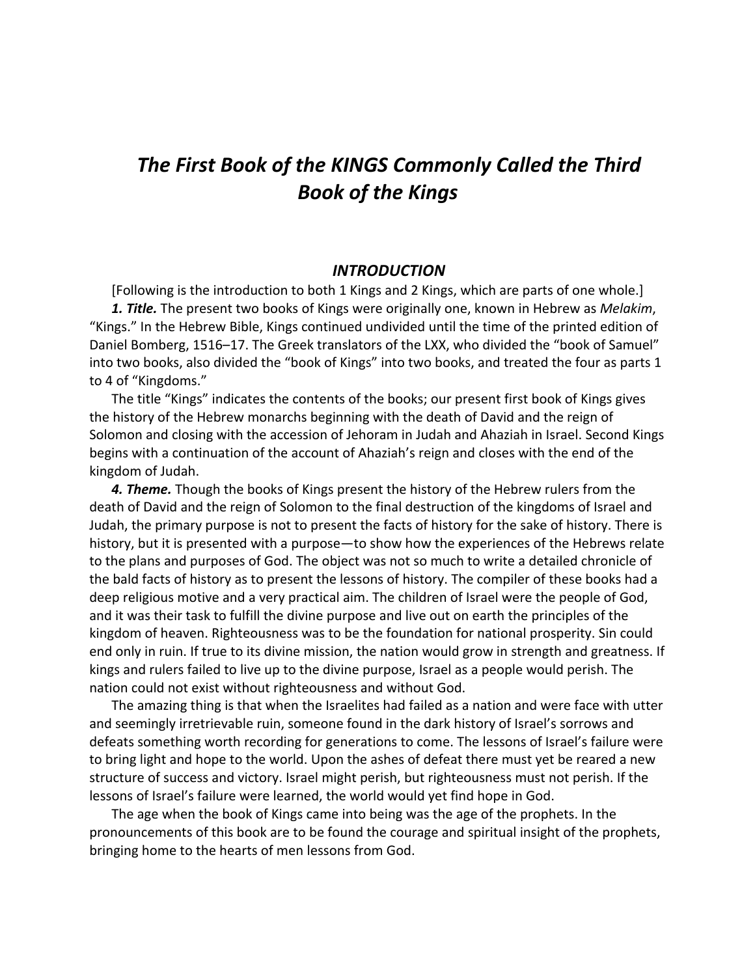## *The First Book of the KINGS Commonly Called the Third Book of the Kings*

## *INTRODUCTION*

[Following is the introduction to both 1 Kings and 2 Kings, which are parts of one whole.] *1. Title.* The present two books of Kings were originally one, known in Hebrew as *Melakim*, "Kings." In the Hebrew Bible, Kings continued undivided until the time of the printed edition of Daniel Bomberg, 1516–17. The Greek translators of the LXX, who divided the "book of Samuel" into two books, also divided the "book of Kings" into two books, and treated the four as parts 1 to 4 of "Kingdoms."

The title "Kings" indicates the contents of the books; our present first book of Kings gives the history of the Hebrew monarchs beginning with the death of David and the reign of Solomon and closing with the accession of Jehoram in Judah and Ahaziah in Israel. Second Kings begins with a continuation of the account of Ahaziah's reign and closes with the end of the kingdom of Judah.

*4. Theme.* Though the books of Kings present the history of the Hebrew rulers from the death of David and the reign of Solomon to the final destruction of the kingdoms of Israel and Judah, the primary purpose is not to present the facts of history for the sake of history. There is history, but it is presented with a purpose—to show how the experiences of the Hebrews relate to the plans and purposes of God. The object was not so much to write a detailed chronicle of the bald facts of history as to present the lessons of history. The compiler of these books had a deep religious motive and a very practical aim. The children of Israel were the people of God, and it was their task to fulfill the divine purpose and live out on earth the principles of the kingdom of heaven. Righteousness was to be the foundation for national prosperity. Sin could end only in ruin. If true to its divine mission, the nation would grow in strength and greatness. If kings and rulers failed to live up to the divine purpose, Israel as a people would perish. The nation could not exist without righteousness and without God.

The amazing thing is that when the Israelites had failed as a nation and were face with utter and seemingly irretrievable ruin, someone found in the dark history of Israel's sorrows and defeats something worth recording for generations to come. The lessons of Israel's failure were to bring light and hope to the world. Upon the ashes of defeat there must yet be reared a new structure of success and victory. Israel might perish, but righteousness must not perish. If the lessons of Israel's failure were learned, the world would yet find hope in God.

The age when the book of Kings came into being was the age of the prophets. In the pronouncements of this book are to be found the courage and spiritual insight of the prophets, bringing home to the hearts of men lessons from God.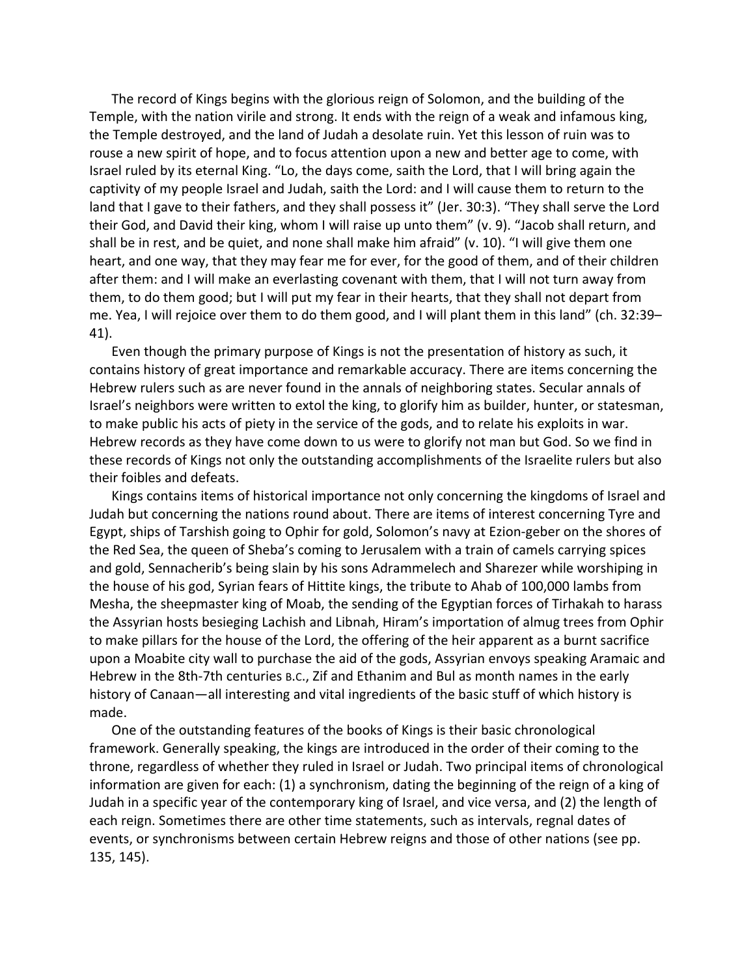The record of Kings begins with the glorious reign of Solomon, and the building of the Temple, with the nation virile and strong. It ends with the reign of a weak and infamous king, the Temple destroyed, and the land of Judah a desolate ruin. Yet this lesson of ruin was to rouse a new spirit of hope, and to focus attention upon a new and better age to come, with Israel ruled by its eternal King. "Lo, the days come, saith the Lord, that I will bring again the captivity of my people Israel and Judah, saith the Lord: and I will cause them to return to the land that I gave to their fathers, and they shall possess it" (Jer. 30:3). "They shall serve the Lord their God, and David their king, whom I will raise up unto them" (v. 9). "Jacob shall return, and shall be in rest, and be quiet, and none shall make him afraid" (v. 10). "I will give them one heart, and one way, that they may fear me for ever, for the good of them, and of their children after them: and I will make an everlasting covenant with them, that I will not turn away from them, to do them good; but I will put my fear in their hearts, that they shall not depart from me. Yea, I will rejoice over them to do them good, and I will plant them in this land" (ch. 32:39– 41).

Even though the primary purpose of Kings is not the presentation of history as such, it contains history of great importance and remarkable accuracy. There are items concerning the Hebrew rulers such as are never found in the annals of neighboring states. Secular annals of Israel's neighbors were written to extol the king, to glorify him as builder, hunter, or statesman, to make public his acts of piety in the service of the gods, and to relate his exploits in war. Hebrew records as they have come down to us were to glorify not man but God. So we find in these records of Kings not only the outstanding accomplishments of the Israelite rulers but also their foibles and defeats.

Kings contains items of historical importance not only concerning the kingdoms of Israel and Judah but concerning the nations round about. There are items of interest concerning Tyre and Egypt, ships of Tarshish going to Ophir for gold, Solomon's navy at Ezion-geber on the shores of the Red Sea, the queen of Sheba's coming to Jerusalem with a train of camels carrying spices and gold, Sennacherib's being slain by his sons Adrammelech and Sharezer while worshiping in the house of his god, Syrian fears of Hittite kings, the tribute to Ahab of 100,000 lambs from Mesha, the sheepmaster king of Moab, the sending of the Egyptian forces of Tirhakah to harass the Assyrian hosts besieging Lachish and Libnah, Hiram's importation of almug trees from Ophir to make pillars for the house of the Lord, the offering of the heir apparent as a burnt sacrifice upon a Moabite city wall to purchase the aid of the gods, Assyrian envoys speaking Aramaic and Hebrew in the 8th-7th centuries B.C., Zif and Ethanim and Bul as month names in the early history of Canaan—all interesting and vital ingredients of the basic stuff of which history is made.

One of the outstanding features of the books of Kings is their basic chronological framework. Generally speaking, the kings are introduced in the order of their coming to the throne, regardless of whether they ruled in Israel or Judah. Two principal items of chronological information are given for each: (1) a synchronism, dating the beginning of the reign of a king of Judah in a specific year of the contemporary king of Israel, and vice versa, and (2) the length of each reign. Sometimes there are other time statements, such as intervals, regnal dates of events, or synchronisms between certain Hebrew reigns and those of other nations (see pp. 135, 145).